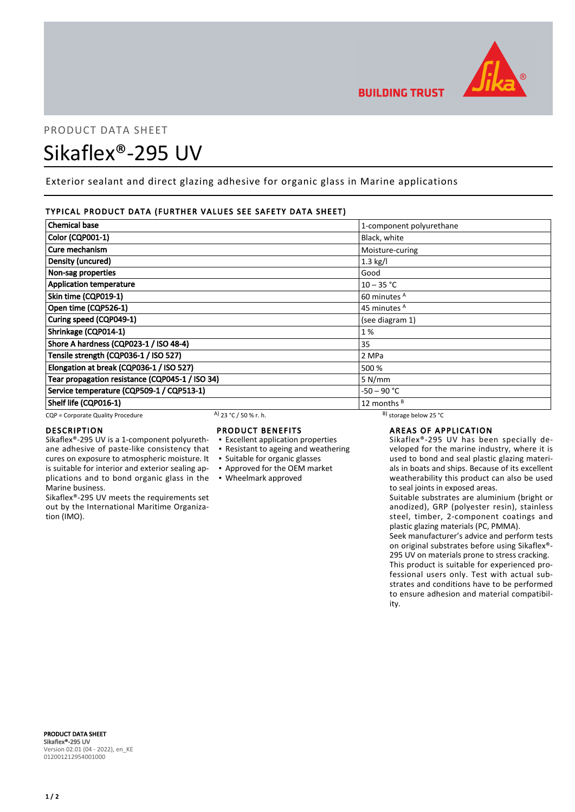

# PRODUCT DATA SHEET Sikaflex®-295 UV

Exterior sealant and direct glazing adhesive for organic glass in Marine applications

# TYPICAL PRODUCT DATA (FURTHER VALUES SEE SAFETY DATA SHEET)

| <b>Chemical base</b>                            | 1-component polyurethane |
|-------------------------------------------------|--------------------------|
| Color (CQP001-1)                                | Black, white             |
| Cure mechanism                                  | Moisture-curing          |
| Density (uncured)                               | $1.3$ kg/l               |
| Non-sag properties                              | Good                     |
| <b>Application temperature</b>                  | $10 - 35 °C$             |
| Skin time (CQP019-1)                            | 60 minutes A             |
| Open time (CQP526-1)                            | 45 minutes <sup>A</sup>  |
| Curing speed (CQP049-1)                         | (see diagram 1)          |
| Shrinkage (CQP014-1)                            | 1%                       |
| Shore A hardness (CQP023-1 / ISO 48-4)          | 35                       |
| Tensile strength (CQP036-1 / ISO 527)           | 2 MPa                    |
| Elongation at break (CQP036-1 / ISO 527)        | 500 %                    |
| Tear propagation resistance (CQP045-1 / ISO 34) | 5 N/mm                   |
| Service temperature (CQP509-1 / CQP513-1)       | -50 – 90 °C              |
| Shelf life (CQP016-1)                           | 12 months <sup>B</sup>   |

CQP = Corporate Quality Procedure A) 23 °C / 50 % r. h. B) storage below 25 °C

is suitable for interior and exterior sealing ap-

Sikaflex®-295 UV meets the requirements set out by the International Maritime Organiza-

# DESCRIPTION

Marine business.

tion (IMO).

# PRODUCT BENEFITS

- Sikaflex®-295 UV is a 1-component polyurethane adhesive of paste-like consistency that cures on exposure to atmospheric moisture. It ▪ Excellent application properties ▪ Resistant to ageing and weathering
	- Suitable for organic glasses
	- Approved for the OEM market
- plications and to bond organic glass in the Wheelmark approved

# AREAS OF APPLICATION

Sikaflex®-295 UV has been specially developed for the marine industry, where it is used to bond and seal plastic glazing materials in boats and ships. Because of its excellent weatherability this product can also be used to seal joints in exposed areas.

Suitable substrates are aluminium (bright or anodized), GRP (polyester resin), stainless steel, timber, 2-component coatings and plastic glazing materials (PC, PMMA).

Seek manufacturer's advice and perform tests on original substrates before using Sikaflex®- 295 UV on materials prone to stress cracking. This product is suitable for experienced professional users only. Test with actual substrates and conditions have to be performed to ensure adhesion and material compatibility.

PRODUCT DATA SHEET Sikaflex®-295 UV Version 02.01 (04 - 2022), en\_KE 012001212954001000